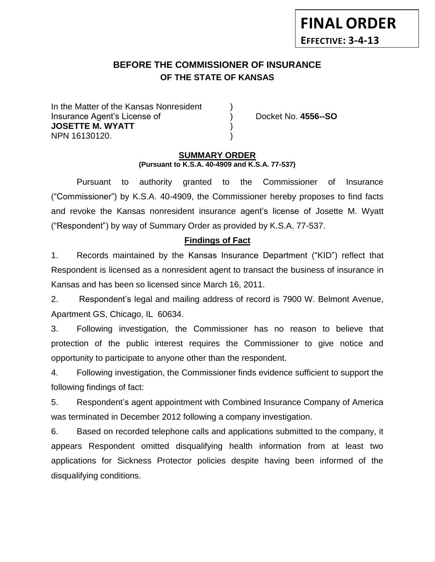# **BEFORE THE COMMISSIONER OF INSURANCE** *-12***OF THE STATE OF KANSAS**

In the Matter of the Kansas Nonresident Insurance Agent's License of ) Docket No. **4556--SO JOSETTE M. WYATT** ) NPN 16130120. )

**FINAL ORDER**

**EFFECTIVE: 3-4-13**

#### **SUMMARY ORDER (Pursuant to K.S.A. 40-4909 and K.S.A. 77-537)**

Pursuant to authority granted to the Commissioner of Insurance ("Commissioner") by K.S.A. 40-4909, the Commissioner hereby proposes to find facts and revoke the Kansas nonresident insurance agent's license of Josette M. Wyatt ("Respondent") by way of Summary Order as provided by K.S.A. 77-537.

#### **Findings of Fact**

1. Records maintained by the Kansas Insurance Department ("KID") reflect that Respondent is licensed as a nonresident agent to transact the business of insurance in Kansas and has been so licensed since March 16, 2011.

2. Respondent's legal and mailing address of record is 7900 W. Belmont Avenue, Apartment GS, Chicago, IL 60634.

3. Following investigation, the Commissioner has no reason to believe that protection of the public interest requires the Commissioner to give notice and opportunity to participate to anyone other than the respondent.

4. Following investigation, the Commissioner finds evidence sufficient to support the following findings of fact:

5. Respondent's agent appointment with Combined Insurance Company of America was terminated in December 2012 following a company investigation.

6. Based on recorded telephone calls and applications submitted to the company, it appears Respondent omitted disqualifying health information from at least two applications for Sickness Protector policies despite having been informed of the disqualifying conditions.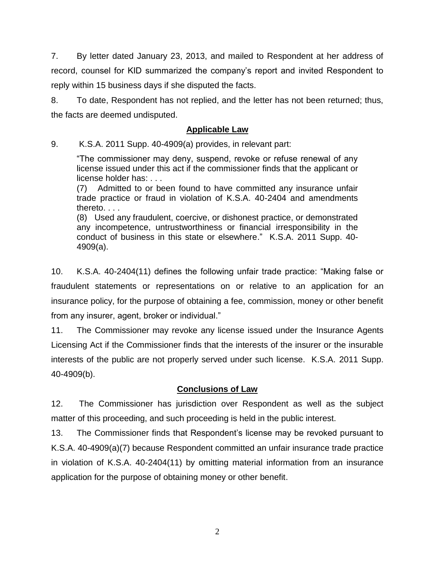7. By letter dated January 23, 2013, and mailed to Respondent at her address of record, counsel for KID summarized the company's report and invited Respondent to reply within 15 business days if she disputed the facts.

8. To date, Respondent has not replied, and the letter has not been returned; thus, the facts are deemed undisputed.

### **Applicable Law**

9. K.S.A. 2011 Supp. 40-4909(a) provides, in relevant part:

"The commissioner may deny, suspend, revoke or refuse renewal of any license issued under this act if the commissioner finds that the applicant or license holder has: . . .

(7) Admitted to or been found to have committed any insurance unfair trade practice or fraud in violation of K.S.A. 40-2404 and amendments thereto. . . .

(8) Used any fraudulent, coercive, or dishonest practice, or demonstrated any incompetence, untrustworthiness or financial irresponsibility in the conduct of business in this state or elsewhere." K.S.A. 2011 Supp. 40- 4909(a).

10. K.S.A. 40-2404(11) defines the following unfair trade practice: "Making false or fraudulent statements or representations on or relative to an application for an insurance policy, for the purpose of obtaining a fee, commission, money or other benefit from any insurer, agent, broker or individual."

11. The Commissioner may revoke any license issued under the Insurance Agents Licensing Act if the Commissioner finds that the interests of the insurer or the insurable interests of the public are not properly served under such license. K.S.A. 2011 Supp. 40-4909(b).

# **Conclusions of Law**

12. The Commissioner has jurisdiction over Respondent as well as the subject matter of this proceeding, and such proceeding is held in the public interest.

13. The Commissioner finds that Respondent's license may be revoked pursuant to K.S.A. 40-4909(a)(7) because Respondent committed an unfair insurance trade practice in violation of K.S.A. 40-2404(11) by omitting material information from an insurance application for the purpose of obtaining money or other benefit.

2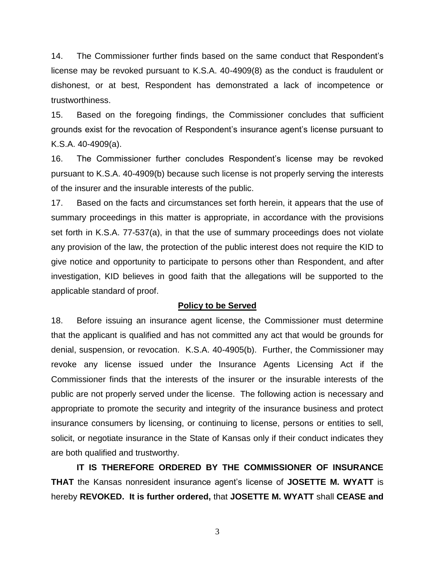14. The Commissioner further finds based on the same conduct that Respondent's license may be revoked pursuant to K.S.A. 40-4909(8) as the conduct is fraudulent or dishonest, or at best, Respondent has demonstrated a lack of incompetence or trustworthiness.

15. Based on the foregoing findings, the Commissioner concludes that sufficient grounds exist for the revocation of Respondent's insurance agent's license pursuant to K.S.A. 40-4909(a).

16. The Commissioner further concludes Respondent's license may be revoked pursuant to K.S.A. 40-4909(b) because such license is not properly serving the interests of the insurer and the insurable interests of the public.

17. Based on the facts and circumstances set forth herein, it appears that the use of summary proceedings in this matter is appropriate, in accordance with the provisions set forth in K.S.A. 77-537(a), in that the use of summary proceedings does not violate any provision of the law, the protection of the public interest does not require the KID to give notice and opportunity to participate to persons other than Respondent, and after investigation, KID believes in good faith that the allegations will be supported to the applicable standard of proof.

#### **Policy to be Served**

18. Before issuing an insurance agent license, the Commissioner must determine that the applicant is qualified and has not committed any act that would be grounds for denial, suspension, or revocation. K.S.A. 40-4905(b). Further, the Commissioner may revoke any license issued under the Insurance Agents Licensing Act if the Commissioner finds that the interests of the insurer or the insurable interests of the public are not properly served under the license. The following action is necessary and appropriate to promote the security and integrity of the insurance business and protect insurance consumers by licensing, or continuing to license, persons or entities to sell, solicit, or negotiate insurance in the State of Kansas only if their conduct indicates they are both qualified and trustworthy.

**IT IS THEREFORE ORDERED BY THE COMMISSIONER OF INSURANCE THAT** the Kansas nonresident insurance agent's license of **JOSETTE M. WYATT** is hereby **REVOKED. It is further ordered,** that **JOSETTE M. WYATT** shall **CEASE and** 

3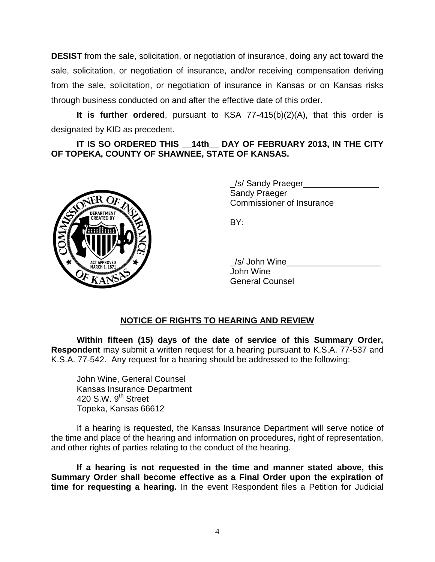**DESIST** from the sale, solicitation, or negotiation of insurance, doing any act toward the sale, solicitation, or negotiation of insurance, and/or receiving compensation deriving from the sale, solicitation, or negotiation of insurance in Kansas or on Kansas risks through business conducted on and after the effective date of this order.

**It is further ordered**, pursuant to KSA 77-415(b)(2)(A), that this order is designated by KID as precedent.

**IT IS SO ORDERED THIS \_\_14th\_\_ DAY OF FEBRUARY 2013, IN THE CITY OF TOPEKA, COUNTY OF SHAWNEE, STATE OF KANSAS.**



\_/s/ Sandy Praeger\_\_\_\_\_\_\_\_\_\_\_\_\_\_\_\_ Sandy Praeger Commissioner of Insurance

BY:

/s/ John Wine John Wine General Counsel

# **NOTICE OF RIGHTS TO HEARING AND REVIEW**

**Within fifteen (15) days of the date of service of this Summary Order, Respondent** may submit a written request for a hearing pursuant to K.S.A. 77-537 and K.S.A. 77-542. Any request for a hearing should be addressed to the following:

John Wine, General Counsel Kansas Insurance Department 420 S.W. 9<sup>th</sup> Street Topeka, Kansas 66612

If a hearing is requested, the Kansas Insurance Department will serve notice of the time and place of the hearing and information on procedures, right of representation, and other rights of parties relating to the conduct of the hearing.

**If a hearing is not requested in the time and manner stated above, this Summary Order shall become effective as a Final Order upon the expiration of time for requesting a hearing.** In the event Respondent files a Petition for Judicial